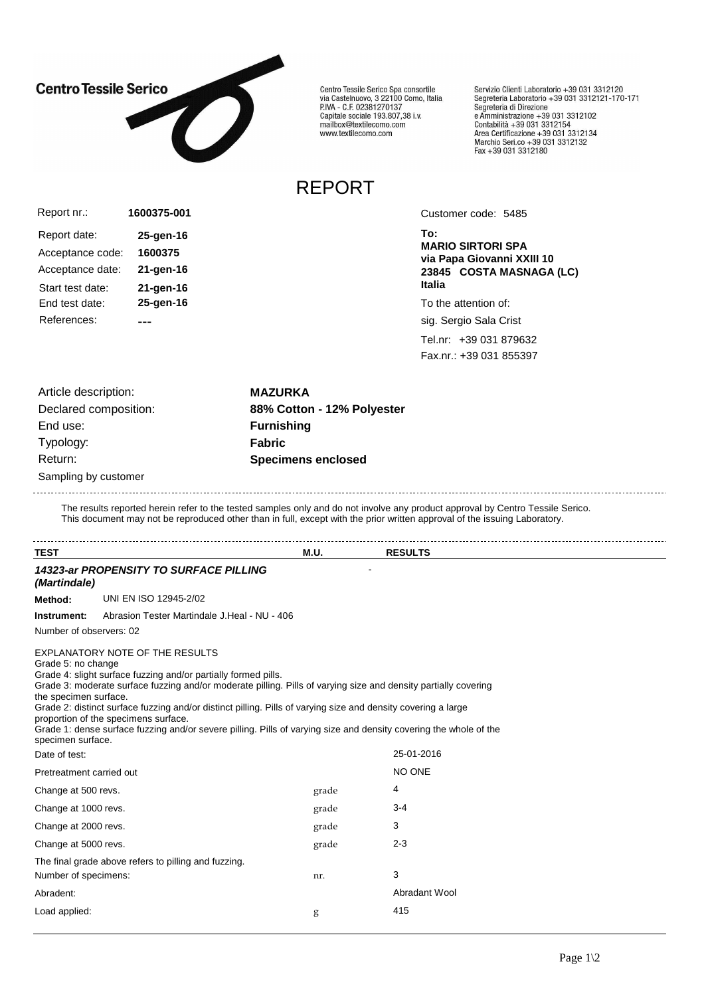

Centro Tessile Serico Spa consortile<br>via Castelnuovo, 3 22100 Como, Italia<br>P.IVA - C.F. 02381270137 Capitale sociale 193.807,38 i.v.<br>Capitale sociale 193.807,38 i.v.<br>mailbox@textilecomo.com www.textilecomo.com

REPORT

Servizio Clienti Laboratorio +39 031 3312120<br>Segreteria Laboratorio +39 031 3312121-170-171<br>Segreteria di Direzione Segreteria di Direzione<br>e Amministrazione +39 031 3312102<br>Contabilità +39 031 3312154<br>Area Certificazione +39 031 3312134<br>Marchio Seri.co +39 031 3312132<br>Fax +39 031 3312180

Acceptance code: **1600375** Report nr.: Report date: **25-gen-16** Acceptance date: **21-gen-16 1600375-001** Start test date: **21-gen-16** End test date: **25-gen-16** References: ---

Customer code: 5485

**To: MARIO SIRTORI SPA via Papa Giovanni XXIII 10 23845 COSTA MASNAGA (LC) Italia**

To the attention of:

sig. Sergio Sala Crist

Tel.nr: +39 031 879632 Fax.nr.: +39 031 855397

| Article description:  | <b>MAZURKA</b>             |
|-----------------------|----------------------------|
| Declared composition: | 88% Cotton - 12% Polyester |
| End use:              | <b>Furnishing</b>          |
| Typology:             | <b>Fabric</b>              |
| Return:               | <b>Specimens enclosed</b>  |
| Sampling by customer  |                            |

The results reported herein refer to the tested samples only and do not involve any product approval by Centro Tessile Serico. This document may not be reproduced other than in full, except with the prior written approval of the issuing Laboratory.

| <b>TEST</b>                                                      |                                                                                                                                                                                                                                                                                                                                                                                                                                                                                                    | <b>M.U.</b> | <b>RESULTS</b> |  |
|------------------------------------------------------------------|----------------------------------------------------------------------------------------------------------------------------------------------------------------------------------------------------------------------------------------------------------------------------------------------------------------------------------------------------------------------------------------------------------------------------------------------------------------------------------------------------|-------------|----------------|--|
| (Martindale)                                                     | <b>14323-ar PROPENSITY TO SURFACE PILLING</b>                                                                                                                                                                                                                                                                                                                                                                                                                                                      |             |                |  |
| Method:                                                          | UNI EN ISO 12945-2/02                                                                                                                                                                                                                                                                                                                                                                                                                                                                              |             |                |  |
| Instrument:                                                      | Abrasion Tester Martindale J.Heal - NU - 406                                                                                                                                                                                                                                                                                                                                                                                                                                                       |             |                |  |
| Number of observers: 02                                          |                                                                                                                                                                                                                                                                                                                                                                                                                                                                                                    |             |                |  |
| Grade 5: no change<br>the specimen surface.<br>specimen surface. | EXPLANATORY NOTE OF THE RESULTS<br>Grade 4: slight surface fuzzing and/or partially formed pills.<br>Grade 3: moderate surface fuzzing and/or moderate pilling. Pills of varying size and density partially covering<br>Grade 2: distinct surface fuzzing and/or distinct pilling. Pills of varying size and density covering a large<br>proportion of the specimens surface.<br>Grade 1: dense surface fuzzing and/or severe pilling. Pills of varying size and density covering the whole of the |             |                |  |
| Date of test:                                                    |                                                                                                                                                                                                                                                                                                                                                                                                                                                                                                    |             | 25-01-2016     |  |
| Pretreatment carried out                                         |                                                                                                                                                                                                                                                                                                                                                                                                                                                                                                    |             | NO ONE         |  |
| Change at 500 revs.                                              |                                                                                                                                                                                                                                                                                                                                                                                                                                                                                                    | grade       | 4              |  |
| Change at 1000 revs.                                             |                                                                                                                                                                                                                                                                                                                                                                                                                                                                                                    | grade       | $3 - 4$        |  |
| Change at 2000 revs.                                             |                                                                                                                                                                                                                                                                                                                                                                                                                                                                                                    | grade       | 3              |  |
| Change at 5000 revs.                                             |                                                                                                                                                                                                                                                                                                                                                                                                                                                                                                    | grade       | $2 - 3$        |  |
|                                                                  | The final grade above refers to pilling and fuzzing.                                                                                                                                                                                                                                                                                                                                                                                                                                               |             |                |  |
| Number of specimens:                                             |                                                                                                                                                                                                                                                                                                                                                                                                                                                                                                    | nr.         | 3              |  |
| Abradent:                                                        |                                                                                                                                                                                                                                                                                                                                                                                                                                                                                                    |             | Abradant Wool  |  |
| Load applied:                                                    |                                                                                                                                                                                                                                                                                                                                                                                                                                                                                                    | g           | 415            |  |